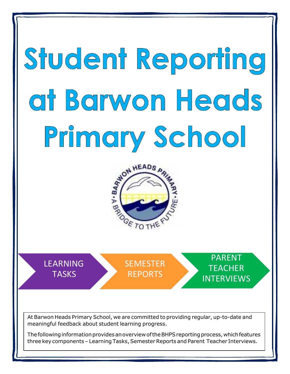# Student Reporting at Barwon Heads Primary School



LEARNING **TASKS** 

**SEMESTER** REPORTS

PARENT **TEACHER** INTERVIEWS

At Barwon Heads Primary School, we are committed to providing regular, up-to-date and meaningful feedback about student learning progress.

The following information provides an overview of the BHPS reporting process, which features three key components - Learning Tasks, Semester Reports and Parent Teacher Interviews.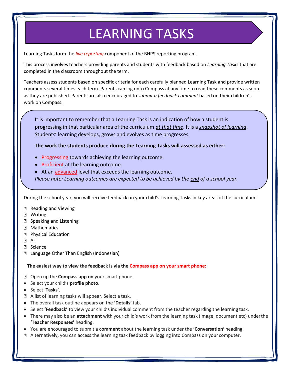## LEARNING TASKS

Learning Tasks form the *live reporting* component of the BHPS reporting program.

This process involves teachers providing parents and students with feedback based on *Learning Tasks* that are completed in the classroom throughout the term.

Teachers assess students based on specific criteria for each carefully planned Learning Task and provide written comments several times each term. Parents can log onto Compass at any time to read these comments as soon as they are published. Parents are also encouraged to *submit a feedback comment* based on their children's work on Compass.

It is important to remember that a Learning Task is an indication of how a student is progressing in that particular area of the curriculum *at that time*. It is a *snapshot of learning*. Students' learning develops, grows and evolves as time progresses.

**The work the students produce during the Learning Tasks will assessed as either:**

- Progressing towards achieving the learning outcome.
- Proficient at the learning outcome.
- At an advanced level that exceeds the learning outcome.

*Please note: Learning outcomes are expected to be achieved by the end of a school year.*

During the school year, you will receive feedback on your child's Learning Tasks in key areas of the curriculum:

- **Reading and Viewing**
- **2 Writing**
- **D** Speaking and Listening
- Mathematics
- **2 Physical Education**
- **P** Art
- **2** Science
- Language Other Than English (Indonesian)

**The easiest way to view the feedback is via the Compass app on your smart phone:**

- Open up the **Compass app on** your smart phone.
- Select your child's **profile photo.**
- **Select 'Tasks'.**
- A list of learning tasks will appear. Select a task.
- The overall task outline appears on the **'Details'** tab.
- **Select 'Feedback'** to view your child's individual comment from the teacher regarding the learning task.
- There may also be an **attachment** with your child's work from the learning task (image, document etc) underthe **'Teacher Responses'** heading.
- You are encouraged to submit a **comment** about the learning task under the **'Conversation'** heading.
- Alternatively, you can access the learning task feedback by logging into Compass on your computer.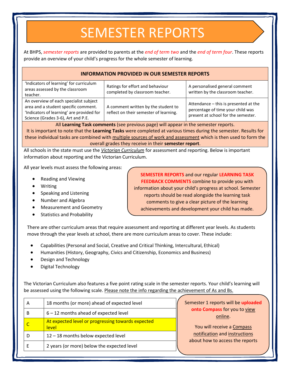### SEMESTER REPORTS

At BHPS, *semester reports* are provided to parents at the *end of term two* and the *end of term four*. These reports provide an overview of your child's progress for the whole semester of learning.

#### **INFORMATION PROVIDED IN OUR SEMESTER REPORTS**

| 'Indicators of learning' for curriculum<br>areas assessed by the classroom<br>teacher.                                                                            | Ratings for effort and behaviour<br>completed by classroom teacher.           | A personalised general comment<br>written by the classroom teacher.                                               |
|-------------------------------------------------------------------------------------------------------------------------------------------------------------------|-------------------------------------------------------------------------------|-------------------------------------------------------------------------------------------------------------------|
| An overview of each specialist subject<br>area and a student specific comment.<br>'Indicators of learning' are provided for<br>Science (Grades 3-6), Art and P.E. | A comment written by the student to<br>reflect on their semester of learning. | Attendance - this is presented at the<br>percentage of time your child was<br>present at school for the semester. |
|                                                                                                                                                                   |                                                                               |                                                                                                                   |

All **Learning Task comments** (see previous page) will appear in the semester reports. It is important to note that the **Learning Tasks** were completed at various times during the semester. Results for these individual tasks are combined with multiple sources of work and assessment which is then used to form the overall grades they receive in their **semester report**.

All schools in the state must use the *Victorian Curriculum* for assessment and reporting. Below is important information about reporting and the Victorian Curriculum.

All year levels must assess the following areas:

- Reading and Viewing
- Writing
- Speaking and Listening
- Number and Algebra
- Measurement and Geometry
- Statistics and Probability

**SEMESTER REPORTS** and our regular **LEARNING TASK FEEDBACK COMMENTS** combine to provide you with information about your child's progress at school. Semester reports should be read alongside the learning task comments to give a clear picture of the learning achievements and development your child has made.

There are other curriculum areas that require assessment and reporting at different year levels. As students move through the year levels at school, there are more curriculum areas to cover. These include:

- Capabilities (Personal and Social, Creative and Critical Thinking, Intercultural, Ethical)
- Humanities (History, Geography, Civics and Citizenship, Economics and Business)
- Design and Technology
- Digital Technology

The Victorian Curriculum also features a five point rating scale in the semester reports. Your child's learning will be assessed using the following scale. Please note the info regarding the achievement of As and Bs.

| A                                            | 18 months (or more) ahead of expected level                | Semester 1 reports will be uploaded                              |
|----------------------------------------------|------------------------------------------------------------|------------------------------------------------------------------|
| $6 - 12$ months ahead of expected level<br>B |                                                            | onto Compass for you to view<br>online.                          |
| $\mathsf{C}$                                 | At expected level or progressing towards expected<br>level | You will receive a Compass                                       |
| D                                            | 12 - 18 months below expected level                        | notification and instructions<br>about how to access the reports |
|                                              | 2 years (or more) below the expected level                 |                                                                  |
|                                              |                                                            |                                                                  |